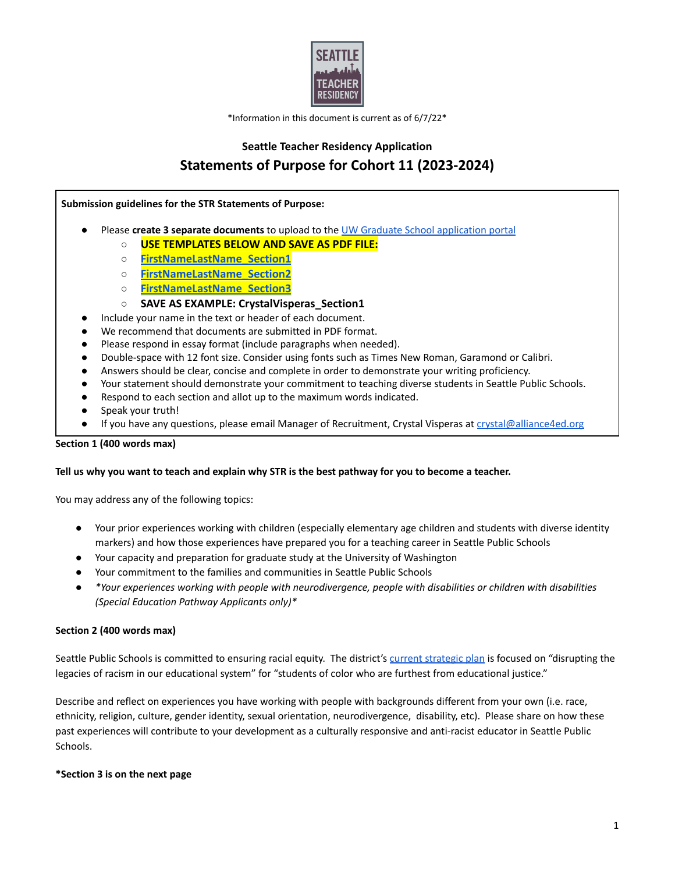

\*Information in this document is current as of 6/7/22\*

# **Seattle Teacher Residency Application Statements of Purpose for Cohort 11 (2023-2024)**

#### **Submission guidelines for the STR Statements of Purpose:**

- Please **create 3 separate documents** to upload to the UW Graduate School [application](https://grad.uw.edu/admissions/apply-now/) portal
	- **USE TEMPLATES BELOW AND SAVE AS PDF FILE:**
	- **[FirstNameLastName\\_Section1](https://docs.google.com/document/d/1j78bOaOkKgCzozMW9jrGSVq10BjzLAPRehoPp07KF08/edit?usp=sharing)**
	- **[FirstNameLastName\\_Section2](https://docs.google.com/document/d/1Z5EEIcpjKoQofXkry1-tcB-TyphyCCnnZ-rGxXvRDj8/edit?usp=sharing)**
	- **[FirstNameLastName\\_Section3](https://docs.google.com/document/d/1hPIi88CgauAtJJ_qZZHJTCG9T4ViPbl5fSb5kjljKkI/edit?usp=sharing)**
	- **SAVE AS EXAMPLE: CrystalVisperas\_Section1**
- Include your name in the text or header of each document.
- We recommend that documents are submitted in PDF format.
- Please respond in essay format (include paragraphs when needed).
- Double-space with 12 font size. Consider using fonts such as Times New Roman, Garamond or Calibri.
- Answers should be clear, concise and complete in order to demonstrate your writing proficiency.
- Your statement should demonstrate your commitment to teaching diverse students in Seattle Public Schools.
- Respond to each section and allot up to the maximum words indicated.
- Speak your truth!
- If you have any questions, please email Manager of Recruitment, Crystal Visperas at [crystal@alliance4ed.org](mailto:crystal@alliance4ed.org)

## **Section 1 (400 words max)**

## Tell us why you want to teach and explain why STR is the best pathway for you to become a teacher.

You may address any of the following topics:

- Your prior experiences working with children (especially elementary age children and students with diverse identity markers) and how those experiences have prepared you for a teaching career in Seattle Public Schools
- Your capacity and preparation for graduate study at the University of Washington
- Your commitment to the families and communities in Seattle Public Schools
- *● \*Your experiences working with people with neurodivergence, people with disabilities or children with disabilities (Special Education Pathway Applicants only)\**

## **Section 2 (400 words max)**

Seattle Public Schools is committed to ensuring racial equity. The district's current [strategic](https://www.seattleschools.org/about/strategic-plan/) plan is focused on "disrupting the legacies of racism in our educational system" for "students of color who are furthest from educational justice."

Describe and reflect on experiences you have working with people with backgrounds different from your own (i.e. race, ethnicity, religion, culture, gender identity, sexual orientation, neurodivergence, disability, etc). Please share on how these past experiences will contribute to your development as a culturally responsive and anti-racist educator in Seattle Public Schools.

## **\*Section 3 is on the next page**